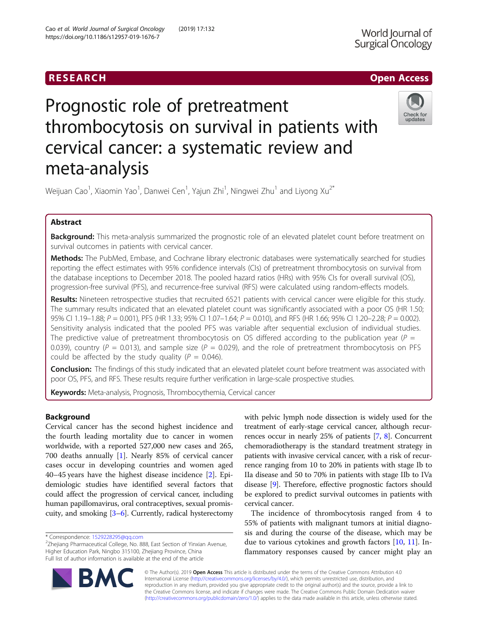# RESEARCH **RESEARCH CONSUMING ACCESS**

# Prognostic role of pretreatment thrombocytosis on survival in patients with cervical cancer: a systematic review and meta-analysis



Weijuan Cao<sup>1</sup>, Xiaomin Yao<sup>1</sup>, Danwei Cen<sup>1</sup>, Yajun Zhi<sup>1</sup>, Ningwei Zhu<sup>1</sup> and Liyong Xu<sup>2\*</sup>

# Abstract

Background: This meta-analysis summarized the prognostic role of an elevated platelet count before treatment on survival outcomes in patients with cervical cancer.

Methods: The PubMed, Embase, and Cochrane library electronic databases were systematically searched for studies reporting the effect estimates with 95% confidence intervals (CIs) of pretreatment thrombocytosis on survival from the database inceptions to December 2018. The pooled hazard ratios (HRs) with 95% CIs for overall survival (OS), progression-free survival (PFS), and recurrence-free survival (RFS) were calculated using random-effects models.

Results: Nineteen retrospective studies that recruited 6521 patients with cervical cancer were eligible for this study. The summary results indicated that an elevated platelet count was significantly associated with a poor OS (HR 1.50; 95% CI 1.19-1.88; P = 0.001), PFS (HR 1.33; 95% CI 1.07-1.64; P = 0.010), and RFS (HR 1.66; 95% CI 1.20-2.28; P = 0.002). Sensitivity analysis indicated that the pooled PFS was variable after sequential exclusion of individual studies. The predictive value of pretreatment thrombocytosis on OS differed according to the publication year ( $P =$ 0.039), country ( $P = 0.013$ ), and sample size ( $P = 0.029$ ), and the role of pretreatment thrombocytosis on PFS could be affected by the study quality ( $P = 0.046$ ).

**Conclusion:** The findings of this study indicated that an elevated platelet count before treatment was associated with poor OS, PFS, and RFS. These results require further verification in large-scale prospective studies.

Keywords: Meta-analysis, Prognosis, Thrombocythemia, Cervical cancer

# Background

Cervical cancer has the second highest incidence and the fourth leading mortality due to cancer in women worldwide, with a reported 527,000 new cases and 265, 700 deaths annually [[1\]](#page-7-0). Nearly 85% of cervical cancer cases occur in developing countries and women aged 40–45 years have the highest disease incidence [[2\]](#page-7-0). Epidemiologic studies have identified several factors that could affect the progression of cervical cancer, including human papillomavirus, oral contraceptives, sexual promiscuity, and smoking  $[3-6]$  $[3-6]$  $[3-6]$  $[3-6]$  $[3-6]$ . Currently, radical hysterectomy

with pelvic lymph node dissection is widely used for the treatment of early-stage cervical cancer, although recurrences occur in nearly 25% of patients [\[7](#page-7-0), [8](#page-7-0)]. Concurrent chemoradiotherapy is the standard treatment strategy in patients with invasive cervical cancer, with a risk of recurrence ranging from 10 to 20% in patients with stage Ib to IIa disease and 50 to 70% in patients with stage IIb to IVa disease [[9](#page-7-0)]. Therefore, effective prognostic factors should be explored to predict survival outcomes in patients with cervical cancer.

The incidence of thrombocytosis ranged from 4 to 55% of patients with malignant tumors at initial diagnosis and during the course of the disease, which may be due to various cytokines and growth factors [[10,](#page-7-0) [11\]](#page-7-0). Inflammatory responses caused by cancer might play an

© The Author(s). 2019 **Open Access** This article is distributed under the terms of the Creative Commons Attribution 4.0 International License [\(http://creativecommons.org/licenses/by/4.0/](http://creativecommons.org/licenses/by/4.0/)), which permits unrestricted use, distribution, and reproduction in any medium, provided you give appropriate credit to the original author(s) and the source, provide a link to the Creative Commons license, and indicate if changes were made. The Creative Commons Public Domain Dedication waiver [\(http://creativecommons.org/publicdomain/zero/1.0/](http://creativecommons.org/publicdomain/zero/1.0/)) applies to the data made available in this article, unless otherwise stated.



<sup>\*</sup> Correspondence: [1529228295@qq.com](mailto:1529228295@qq.com) <sup>2</sup>

 $2$ Zhejiang Pharmaceutical College, No. 888, East Section of Yinxian Avenue, Higher Education Park, Ningbo 315100, Zhejiang Province, China Full list of author information is available at the end of the article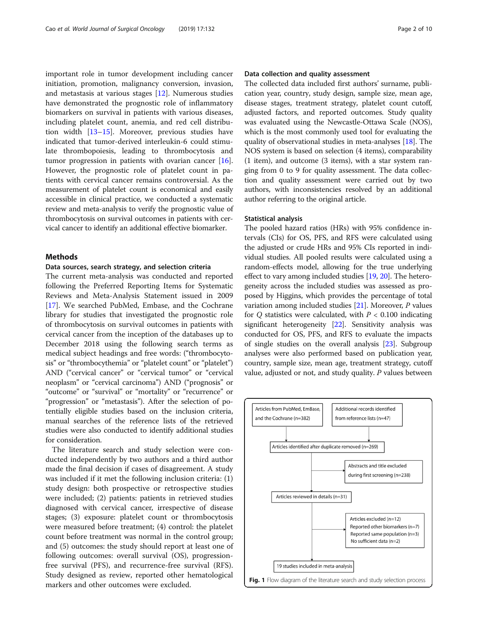<span id="page-1-0"></span>important role in tumor development including cancer initiation, promotion, malignancy conversion, invasion, and metastasis at various stages [\[12](#page-7-0)]. Numerous studies have demonstrated the prognostic role of inflammatory biomarkers on survival in patients with various diseases, including platelet count, anemia, and red cell distribution width [[13](#page-8-0)–[15](#page-8-0)]. Moreover, previous studies have indicated that tumor-derived interleukin-6 could stimulate thrombopoiesis, leading to thrombocytosis and tumor progression in patients with ovarian cancer [\[16](#page-8-0)]. However, the prognostic role of platelet count in patients with cervical cancer remains controversial. As the measurement of platelet count is economical and easily accessible in clinical practice, we conducted a systematic review and meta-analysis to verify the prognostic value of thrombocytosis on survival outcomes in patients with cervical cancer to identify an additional effective biomarker.

# **Methods**

# Data sources, search strategy, and selection criteria

The current meta-analysis was conducted and reported following the Preferred Reporting Items for Systematic Reviews and Meta-Analysis Statement issued in 2009 [[17\]](#page-8-0). We searched PubMed, Embase, and the Cochrane library for studies that investigated the prognostic role of thrombocytosis on survival outcomes in patients with cervical cancer from the inception of the databases up to December 2018 using the following search terms as medical subject headings and free words: ("thrombocytosis" or "thrombocythemia" or "platelet count" or "platelet") AND ("cervical cancer" or "cervical tumor" or "cervical neoplasm" or "cervical carcinoma") AND ("prognosis" or "outcome" or "survival" or "mortality" or "recurrence" or "progression" or "metastasis"). After the selection of potentially eligible studies based on the inclusion criteria, manual searches of the reference lists of the retrieved studies were also conducted to identify additional studies for consideration.

The literature search and study selection were conducted independently by two authors and a third author made the final decision if cases of disagreement. A study was included if it met the following inclusion criteria: (1) study design: both prospective or retrospective studies were included; (2) patients: patients in retrieved studies diagnosed with cervical cancer, irrespective of disease stages; (3) exposure: platelet count or thrombocytosis were measured before treatment; (4) control: the platelet count before treatment was normal in the control group; and (5) outcomes: the study should report at least one of following outcomes: overall survival (OS), progressionfree survival (PFS), and recurrence-free survival (RFS). Study designed as review, reported other hematological markers and other outcomes were excluded.

# Data collection and quality assessment

The collected data included first authors' surname, publication year, country, study design, sample size, mean age, disease stages, treatment strategy, platelet count cutoff, adjusted factors, and reported outcomes. Study quality was evaluated using the Newcastle-Ottawa Scale (NOS), which is the most commonly used tool for evaluating the quality of observational studies in meta-analyses [[18](#page-8-0)]. The NOS system is based on selection (4 items), comparability (1 item), and outcome (3 items), with a star system ranging from 0 to 9 for quality assessment. The data collection and quality assessment were carried out by two authors, with inconsistencies resolved by an additional author referring to the original article.

#### Statistical analysis

The pooled hazard ratios (HRs) with 95% confidence intervals (CIs) for OS, PFS, and RFS were calculated using the adjusted or crude HRs and 95% CIs reported in individual studies. All pooled results were calculated using a random-effects model, allowing for the true underlying effect to vary among included studies [\[19,](#page-8-0) [20](#page-8-0)]. The heterogeneity across the included studies was assessed as proposed by Higgins, which provides the percentage of total variation among included studies [\[21\]](#page-8-0). Moreover, P values for Q statistics were calculated, with  $P < 0.100$  indicating significant heterogeneity [[22](#page-8-0)]. Sensitivity analysis was conducted for OS, PFS, and RFS to evaluate the impacts of single studies on the overall analysis [\[23\]](#page-8-0). Subgroup analyses were also performed based on publication year, country, sample size, mean age, treatment strategy, cutoff value, adjusted or not, and study quality. P values between

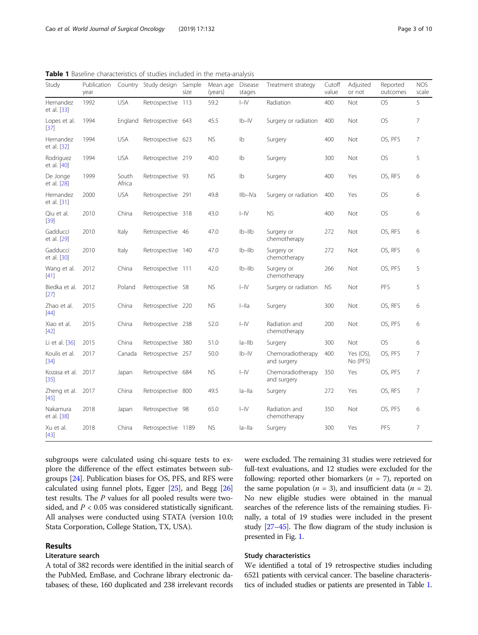<span id="page-2-0"></span>Table 1 Baseline characteristics of studies included in the meta-analysis

| Study                        | Publication<br>year |                 | Country Study design | Sample<br>size | Mean age<br>(years) | Disease<br>stages | Treatment strategy               | Cutoff<br>value | Adjusted<br>or not    | Reported<br>outcomes | <b>NOS</b><br>scale |
|------------------------------|---------------------|-----------------|----------------------|----------------|---------------------|-------------------|----------------------------------|-----------------|-----------------------|----------------------|---------------------|
| Hernandez<br>et al. [33]     | 1992                | <b>USA</b>      | Retrospective 113    |                | 59.2                | $I - IV$          | Radiation                        | 400             | Not                   | <b>OS</b>            | 5                   |
| Lopes et al.<br>$[37]$       | 1994                | England         | Retrospective 643    |                | 45.5                | $Ib-IV$           | Surgery or radiation             | 400             | Not                   | <b>OS</b>            | 7                   |
| Hernandez<br>et al. [32]     | 1994                | <b>USA</b>      | Retrospective 623    |                | <b>NS</b>           | Ib                | Surgery                          | 400             | Not                   | OS, PFS              | 7                   |
| Rodriguez<br>et al. [40]     | 1994                | <b>USA</b>      | Retrospective 219    |                | 40.0                | Ib                | Surgery                          | 300             | Not                   | <b>OS</b>            | 5                   |
| De Jonge<br>et al. [28]      | 1999                | South<br>Africa | Retrospective 93     |                | <b>NS</b>           | Ib                | Surgery                          | 400             | Yes                   | OS, RFS              | 6                   |
| Hernandez<br>et al. [31]     | 2000                | <b>USA</b>      | Retrospective 291    |                | 49.8                | Ilb-IVa           | Surgery or radiation             | 400             | Yes                   | <b>OS</b>            | 6                   |
| Qiu et al.<br>$[39]$         | 2010                | China           | Retrospective 318    |                | 43.0                | $I - IV$          | <b>NS</b>                        | 400             | Not                   | <b>OS</b>            | 6                   |
| Gadducci<br>et al. [29]      | 2010                | Italy           | Retrospective 46     |                | 47.0                | $Ib-Ilb$          | Surgery or<br>chemotherapy       | 272             | Not                   | OS, RFS              | 6                   |
| Gadducci<br>et al. [30]      | 2010                | Italy           | Retrospective 140    |                | 47.0                | $Ib-Ilb$          | Surgery or<br>chemotherapy       | 272             | Not                   | OS, RFS              | 6                   |
| Wang et al.<br>[41]          | 2012                | China           | Retrospective 111    |                | 42.0                | $Ib-Ilb$          | Surgery or<br>chemotherapy       | 266             | Not                   | OS, PFS              | 5                   |
| Biedka et al.<br>$[27]$      | 2012                | Poland          | Retrospective 58     |                | <b>NS</b>           | $I - IV$          | Surgery or radiation             | <b>NS</b>       | Not                   | PFS                  | 5                   |
| Zhao et al.<br>[44]          | 2015                | China           | Retrospective 220    |                | <b>NS</b>           | $I$ -Ila          | Surgery                          | 300             | Not                   | OS, RFS              | 6                   |
| Xiao et al.<br>$[42]$        | 2015                | China           | Retrospective 238    |                | 52.0                | $I - IV$          | Radiation and<br>chemotherapy    | 200             | Not                   | OS, PFS              | 6                   |
| Li et al. [36]               | 2015                | China           | Retrospective 380    |                | 51.0                | $la$ -IIb         | Surgery                          | 300             | Not                   | <b>OS</b>            | 6                   |
| Koulis et al.<br>[34]        | 2017                | Canada          | Retrospective 257    |                | 50.0                | $Ib-IV$           | Chemoradiotherapy<br>and surgery | 400             | Yes (OS),<br>No (PFS) | OS, PFS              | 7                   |
| Kozasa et al. 2017<br>$[35]$ |                     | Japan           | Retrospective 684    |                | <b>NS</b>           | $I - IV$          | Chemoradiotherapy<br>and surgery | 350             | Yes                   | OS, PFS              | 7                   |
| Zheng et al.<br>[45]         | 2017                | China           | Retrospective 800    |                | 49.5                | la-lla            | Surgery                          | 272             | Yes                   | OS, RFS              | 7                   |
| Nakamura<br>et al. [38]      | 2018                | Japan           | Retrospective 98     |                | 65.0                | $I - IV$          | Radiation and<br>chemotherapy    | 350             | Not                   | OS, PFS              | 6                   |
| Xu et al.<br>$[43]$          | 2018                | China           | Retrospective 1189   |                | <b>NS</b>           | $ a-  a $         | Surgery                          | 300             | Yes                   | PFS                  | 7                   |

subgroups were calculated using chi-square tests to explore the difference of the effect estimates between subgroups [\[24\]](#page-8-0). Publication biases for OS, PFS, and RFS were calculated using funnel plots, Egger [[25](#page-8-0)], and Begg [[26](#page-8-0)] test results. The P values for all pooled results were twosided, and  $P < 0.05$  was considered statistically significant. All analyses were conducted using STATA (version 10.0; Stata Corporation, College Station, TX, USA).

# Results

# Literature search

A total of 382 records were identified in the initial search of the PubMed, EmBase, and Cochrane library electronic databases; of these, 160 duplicated and 238 irrelevant records

were excluded. The remaining 31 studies were retrieved for full-text evaluations, and 12 studies were excluded for the following: reported other biomarkers ( $n = 7$ ), reported on the same population ( $n = 3$ ), and insufficient data ( $n = 2$ ). No new eligible studies were obtained in the manual searches of the reference lists of the remaining studies. Finally, a total of 19 studies were included in the present study [\[27](#page-8-0)–[45](#page-8-0)]. The flow diagram of the study inclusion is presented in Fig. [1.](#page-1-0)

# Study characteristics

We identified a total of 19 retrospective studies including 6521 patients with cervical cancer. The baseline characteristics of included studies or patients are presented in Table 1.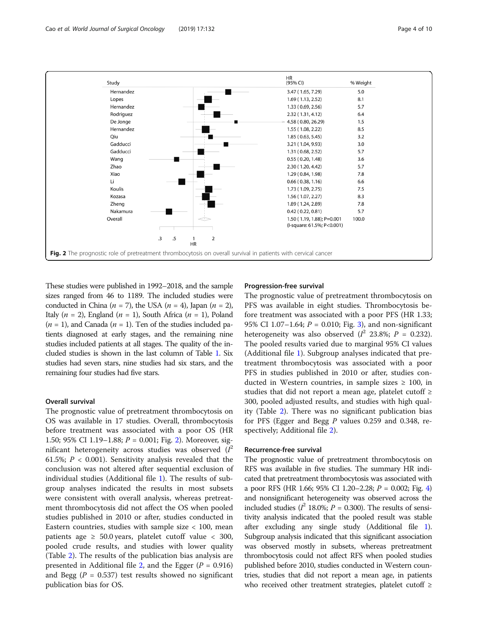

These studies were published in 1992–2018, and the sample sizes ranged from 46 to 1189. The included studies were conducted in China ( $n = 7$ ), the USA ( $n = 4$ ), Japan ( $n = 2$ ), Italy ( $n = 2$ ), England ( $n = 1$ ), South Africa ( $n = 1$ ), Poland  $(n = 1)$ , and Canada  $(n = 1)$ . Ten of the studies included patients diagnosed at early stages, and the remaining nine studies included patients at all stages. The quality of the included studies is shown in the last column of Table [1.](#page-2-0) Six studies had seven stars, nine studies had six stars, and the remaining four studies had five stars.

#### Overall survival

The prognostic value of pretreatment thrombocytosis on OS was available in 17 studies. Overall, thrombocytosis before treatment was associated with a poor OS (HR 1.50; 95% CI 1.19–1.88;  $P = 0.001$ ; Fig. 2). Moreover, significant heterogeneity across studies was observed  $(I^2)$ 61.5%;  $P < 0.001$ ). Sensitivity analysis revealed that the conclusion was not altered after sequential exclusion of individual studies (Additional file [1\)](#page-7-0). The results of subgroup analyses indicated the results in most subsets were consistent with overall analysis, whereas pretreatment thrombocytosis did not affect the OS when pooled studies published in 2010 or after, studies conducted in Eastern countries, studies with sample size  $< 100$ , mean patients age  $\geq 50.0$  years, platelet cutoff value  $\lt 300$ , pooled crude results, and studies with lower quality (Table [2](#page-4-0)). The results of the publication bias analysis are presented in Additional file [2](#page-7-0), and the Egger  $(P = 0.916)$ and Begg ( $P = 0.537$ ) test results showed no significant publication bias for OS.

# Progression-free survival

The prognostic value of pretreatment thrombocytosis on PFS was available in eight studies. Thrombocytosis before treatment was associated with a poor PFS (HR 1.33; 95% CI 1.07-1.64;  $P = 0.010$ ; Fig. [3](#page-5-0)), and non-significant heterogeneity was also observed ( $l^2$  23.8%;  $P = 0.232$ ). The pooled results varied due to marginal 95% CI values (Additional file [1\)](#page-7-0). Subgroup analyses indicated that pretreatment thrombocytosis was associated with a poor PFS in studies published in 2010 or after, studies conducted in Western countries, in sample sizes  $\geq$  100, in studies that did not report a mean age, platelet cutoff  $\geq$ 300, pooled adjusted results, and studies with high quality (Table [2\)](#page-4-0). There was no significant publication bias for PFS (Egger and Begg P values 0.259 and 0.348, respectively; Additional file [2\)](#page-7-0).

#### Recurrence-free survival

The prognostic value of pretreatment thrombocytosis on RFS was available in five studies. The summary HR indicated that pretreatment thrombocytosis was associated with a poor RFS (HR 1.66; 95% CI 1.20–2.28;  $P = 0.002$ ; Fig. [4](#page-6-0)) and nonsignificant heterogeneity was observed across the included studies ( $l^2$  18.0%;  $P = 0.300$ ). The results of sensitivity analysis indicated that the pooled result was stable after excluding any single study (Additional file [1](#page-7-0)). Subgroup analysis indicated that this significant association was observed mostly in subsets, whereas pretreatment thrombocytosis could not affect RFS when pooled studies published before 2010, studies conducted in Western countries, studies that did not report a mean age, in patients who received other treatment strategies, platelet cutoff ≥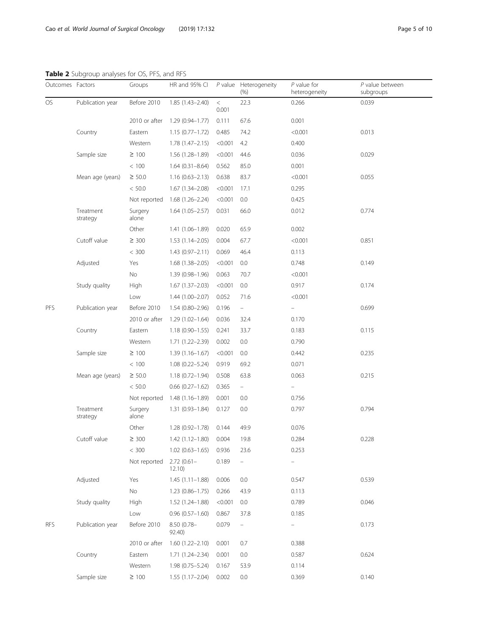<span id="page-4-0"></span>Table 2 Subgroup analyses for OS, PFS, and RFS

| Outcomes Factors |                       | Groups           | HR and 95% CI          |                | P value Heterogeneity<br>(% ) | $P$ value for<br>heterogeneity | $P$ value between<br>subgroups |
|------------------|-----------------------|------------------|------------------------|----------------|-------------------------------|--------------------------------|--------------------------------|
| OS               | Publication year      | Before 2010      | 1.85 (1.43-2.40)       | $\,<$<br>0.001 | 22.3                          | 0.266                          | 0.039                          |
|                  |                       | 2010 or after    | 1.29 (0.94-1.77)       | 0.111          | 67.6                          | 0.001                          |                                |
|                  | Country               | Eastern          | $1.15(0.77-1.72)$      | 0.485          | 74.2                          | < 0.001                        | 0.013                          |
|                  |                       | Western          | $1.78(1.47 - 2.15)$    | < 0.001        | 4.2                           | 0.400                          |                                |
|                  | Sample size           | $\geq 100$       | 1.56 (1.28-1.89)       | < 0.001        | 44.6                          | 0.036                          | 0.029                          |
|                  |                       | < 100            | $1.64(0.31 - 8.64)$    | 0.562          | 85.0                          | 0.001                          |                                |
|                  | Mean age (years)      | $\geq 50.0$      | $1.16(0.63 - 2.13)$    | 0.638          | 83.7                          | < 0.001                        | 0.055                          |
|                  |                       | < 50.0           | $1.67(1.34 - 2.08)$    | < 0.001        | 17.1                          | 0.295                          |                                |
|                  |                       | Not reported     | 1.68 (1.26-2.24)       | < 0.001        | 0.0                           | 0.425                          |                                |
|                  | Treatment<br>strategy | Surgery<br>alone | $1.64(1.05 - 2.57)$    | 0.031          | 66.0                          | 0.012                          | 0.774                          |
|                  |                       | Other            | $1.41(1.06 - 1.89)$    | 0.020          | 65.9                          | 0.002                          |                                |
|                  | Cutoff value          | $\geq 300$       | $1.53(1.14 - 2.05)$    | 0.004          | 67.7                          | < 0.001                        | 0.851                          |
|                  |                       | < 300            | $1.43(0.97 - 2.11)$    | 0.069          | 46.4                          | 0.113                          |                                |
|                  | Adjusted              | Yes              | $1.68(1.38 - 2.05)$    | < 0.001        | 0.0                           | 0.748                          | 0.149                          |
|                  |                       | No               | 1.39 (0.98-1.96)       | 0.063          | 70.7                          | < 0.001                        |                                |
|                  | Study quality         | High             | $1.67(1.37 - 2.03)$    | < 0.001        | 0.0                           | 0.917                          | 0.174                          |
|                  |                       | Low              | $1.44(1.00 - 2.07)$    | 0.052          | 71.6                          | < 0.001                        |                                |
| PFS              | Publication year      | Before 2010      | $1.54(0.80 - 2.96)$    | 0.196          | $\overline{\phantom{0}}$      | $\overline{\phantom{0}}$       | 0.699                          |
|                  |                       | 2010 or after    | $1.29(1.02 - 1.64)$    | 0.036          | 32.4                          | 0.170                          |                                |
|                  | Country               | Eastern          | $1.18(0.90 - 1.55)$    | 0.241          | 33.7                          | 0.183                          | 0.115                          |
|                  |                       | Western          | 1.71 (1.22-2.39)       | 0.002          | 0.0                           | 0.790                          |                                |
|                  | Sample size           | $\geq 100$       | $1.39(1.16 - 1.67)$    | < 0.001        | 0.0                           | 0.442                          | 0.235                          |
|                  |                       | < 100            | $1.08(0.22 - 5.24)$    | 0.919          | 69.2                          | 0.071                          |                                |
|                  | Mean age (years)      | $\geq$ 50.0      | $1.18(0.72 - 1.94)$    | 0.508          | 63.8                          | 0.063                          | 0.215                          |
|                  |                       | < 50.0           | $0.66$ $(0.27-1.62)$   | 0.365          | $\bar{ }$                     | $\overline{\phantom{0}}$       |                                |
|                  |                       | Not reported     | 1.48 (1.16-1.89)       | 0.001          | 0.0                           | 0.756                          |                                |
|                  | Treatment<br>strategy | Surgery<br>alone | $1.31(0.93 - 1.84)$    | 0.127          | 0.0                           | 0.797                          | 0.794                          |
|                  |                       | Other            | $1.28(0.92 - 1.78)$    | 0.144          | 49.9                          | 0.076                          |                                |
|                  | Cutoff value          | $\geq 300$       | 1.42 (1.12–1.80)       | 0.004          | 19.8                          | 0.284                          | 0.228                          |
|                  |                       | < 300            | $1.02(0.63 - 1.65)$    | 0.936          | 23.6                          | 0.253                          |                                |
|                  |                       | Not reported     | $2.72(0.61 -$<br>12.10 | 0.189          | $\overline{\phantom{0}}$      |                                |                                |
|                  | Adjusted              | Yes              | $1.45(1.11-1.88)$      | 0.006          | 0.0                           | 0.547                          | 0.539                          |
|                  |                       | No               | $1.23(0.86 - 1.75)$    | 0.266          | 43.9                          | 0.113                          |                                |
|                  | Study quality         | High             | 1.52 (1.24-1.88)       | < 0.001        | 0.0                           | 0.789                          | 0.046                          |
|                  |                       | Low              | $0.96(0.57-1.60)$      | 0.867          | 37.8                          | 0.185                          |                                |
| <b>RFS</b>       | Publication year      | Before 2010      | 8.50 (0.78-<br>92.40)  | 0.079          | ÷,                            |                                | 0.173                          |
|                  |                       | 2010 or after    | $1.60(1.22 - 2.10)$    | 0.001          | 0.7                           | 0.388                          |                                |
|                  | Country               | Eastern          | 1.71 (1.24-2.34)       | 0.001          | $0.0\,$                       | 0.587                          | 0.624                          |
|                  |                       | Western          | $1.98(0.75 - 5.24)$    | 0.167          | 53.9                          | 0.114                          |                                |
|                  | Sample size           | $\geq$ 100       | $1.55(1.17-2.04)$      | 0.002          | 0.0                           | 0.369                          | 0.140                          |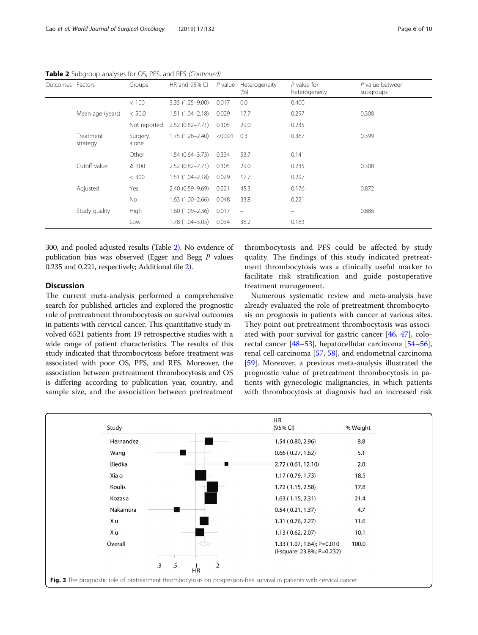| Outcomes Factors |                       | Groups           | HR and 95% CI       | $P$ value | Heterogeneity<br>(%)     | $P$ value for<br>heterogeneity | P value between<br>subgroups |
|------------------|-----------------------|------------------|---------------------|-----------|--------------------------|--------------------------------|------------------------------|
|                  |                       | < 100            | 3.35 (1.25-9.00)    | 0.017     | 0.0                      | 0.400                          |                              |
|                  | Mean age (years)      | < 50.0           | $1.51(1.04 - 2.18)$ | 0.029     | 17.7                     | 0.297                          | 0.308                        |
|                  |                       | Not reported     | $2.52(0.82 - 7.71)$ | 0.105     | 29.0                     | 0.235                          |                              |
|                  | Treatment<br>strategy | Surgery<br>alone | $1.75(1.28 - 2.40)$ | < 0.001   | 0.3                      | 0.367                          | 0.399                        |
|                  |                       | Other            | $1.54(0.64 - 3.73)$ | 0.334     | 53.7                     | 0.141                          |                              |
|                  | Cutoff value          | $\geq 300$       | $2.52(0.82 - 7.71)$ | 0.105     | 29.0                     | 0.235                          | 0.308                        |
|                  |                       | < 300            | $1.51(1.04 - 2.18)$ | 0.029     | 17.7                     | 0.297                          |                              |
|                  | Adjusted              | Yes              | 2.40 (0.59-9.69)    | 0.221     | 45.3                     | 0.176                          | 0.872                        |
|                  |                       | No               | $1.63(1.00 - 2.66)$ | 0.048     | 33.8                     | 0.221                          |                              |
|                  | Study quality         | High             | $1.60(1.09 - 2.36)$ | 0.017     | $\overline{\phantom{m}}$ | $\equiv$                       | 0.886                        |
|                  |                       | Low              | $1.78(1.04 - 3.05)$ | 0.034     | 38.2                     | 0.183                          |                              |

<span id="page-5-0"></span>Table 2 Subgroup analyses for OS, PFS, and RFS (Continued)

300, and pooled adjusted results (Table [2](#page-4-0)). No evidence of publication bias was observed (Egger and Begg P values 0.235 and 0.221, respectively; Additional file [2](#page-7-0)).

# **Discussion**

The current meta-analysis performed a comprehensive search for published articles and explored the prognostic role of pretreatment thrombocytosis on survival outcomes in patients with cervical cancer. This quantitative study involved 6521 patients from 19 retrospective studies with a wide range of patient characteristics. The results of this study indicated that thrombocytosis before treatment was associated with poor OS, PFS, and RFS. Moreover, the association between pretreatment thrombocytosis and OS is differing according to publication year, country, and sample size, and the association between pretreatment

thrombocytosis and PFS could be affected by study quality. The findings of this study indicated pretreatment thrombocytosis was a clinically useful marker to facilitate risk stratification and guide postoperative treatment management.

Numerous systematic review and meta-analysis have already evaluated the role of pretreatment thrombocytosis on prognosis in patients with cancer at various sites. They point out pretreatment thrombocytosis was associated with poor survival for gastric cancer [[46](#page-8-0), [47\]](#page-8-0), colorectal cancer [[48](#page-8-0)–[53](#page-8-0)], hepatocellular carcinoma [[54](#page-8-0)–[56](#page-8-0)], renal cell carcinoma [\[57](#page-9-0), [58\]](#page-9-0), and endometrial carcinoma [[59\]](#page-9-0). Moreover, a previous meta-analysis illustrated the prognostic value of pretreatment thrombocytosis in patients with gynecologic malignancies, in which patients with thrombocytosis at diagnosis had an increased risk

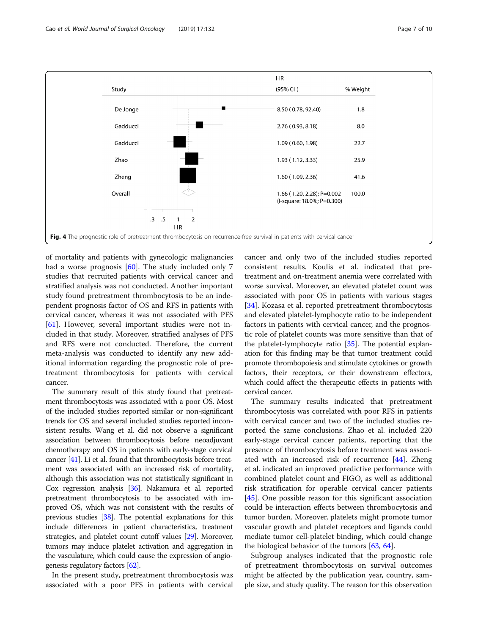<span id="page-6-0"></span>

of mortality and patients with gynecologic malignancies had a worse prognosis [\[60\]](#page-9-0). The study included only 7 studies that recruited patients with cervical cancer and stratified analysis was not conducted. Another important study found pretreatment thrombocytosis to be an independent prognosis factor of OS and RFS in patients with cervical cancer, whereas it was not associated with PFS [[61\]](#page-9-0). However, several important studies were not included in that study. Moreover, stratified analyses of PFS and RFS were not conducted. Therefore, the current meta-analysis was conducted to identify any new additional information regarding the prognostic role of pretreatment thrombocytosis for patients with cervical cancer.

The summary result of this study found that pretreatment thrombocytosis was associated with a poor OS. Most of the included studies reported similar or non-significant trends for OS and several included studies reported inconsistent results. Wang et al. did not observe a significant association between thrombocytosis before neoadjuvant chemotherapy and OS in patients with early-stage cervical cancer [\[41](#page-8-0)]. Li et al. found that thrombocytosis before treatment was associated with an increased risk of mortality, although this association was not statistically significant in Cox regression analysis [\[36\]](#page-8-0). Nakamura et al. reported pretreatment thrombocytosis to be associated with improved OS, which was not consistent with the results of previous studies [\[38](#page-8-0)]. The potential explanations for this include differences in patient characteristics, treatment strategies, and platelet count cutoff values [\[29\]](#page-8-0). Moreover, tumors may induce platelet activation and aggregation in the vasculature, which could cause the expression of angiogenesis regulatory factors [\[62](#page-9-0)].

In the present study, pretreatment thrombocytosis was associated with a poor PFS in patients with cervical cancer and only two of the included studies reported consistent results. Koulis et al. indicated that pretreatment and on-treatment anemia were correlated with worse survival. Moreover, an elevated platelet count was associated with poor OS in patients with various stages [[34\]](#page-8-0). Kozasa et al. reported pretreatment thrombocytosis and elevated platelet-lymphocyte ratio to be independent factors in patients with cervical cancer, and the prognostic role of platelet counts was more sensitive than that of the platelet-lymphocyte ratio [[35](#page-8-0)]. The potential explanation for this finding may be that tumor treatment could promote thrombopoiesis and stimulate cytokines or growth factors, their receptors, or their downstream effectors, which could affect the therapeutic effects in patients with cervical cancer.

The summary results indicated that pretreatment thrombocytosis was correlated with poor RFS in patients with cervical cancer and two of the included studies reported the same conclusions. Zhao et al. included 220 early-stage cervical cancer patients, reporting that the presence of thrombocytosis before treatment was associated with an increased risk of recurrence [\[44](#page-8-0)]. Zheng et al. indicated an improved predictive performance with combined platelet count and FIGO, as well as additional risk stratification for operable cervical cancer patients [[45\]](#page-8-0). One possible reason for this significant association could be interaction effects between thrombocytosis and tumor burden. Moreover, platelets might promote tumor vascular growth and platelet receptors and ligands could mediate tumor cell-platelet binding, which could change the biological behavior of the tumors [[63](#page-9-0), [64](#page-9-0)].

Subgroup analyses indicated that the prognostic role of pretreatment thrombocytosis on survival outcomes might be affected by the publication year, country, sample size, and study quality. The reason for this observation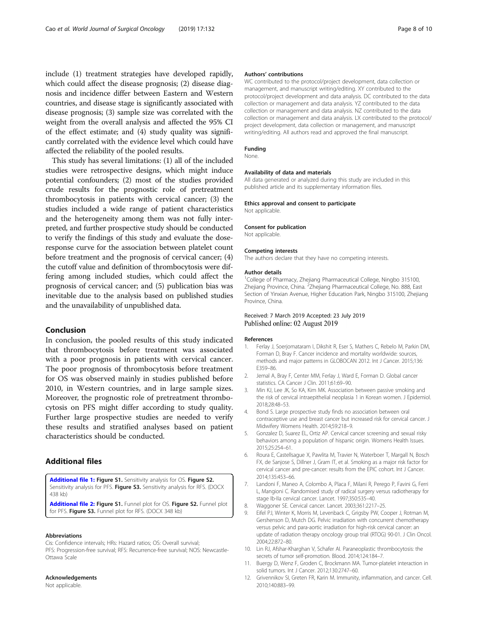<span id="page-7-0"></span>include (1) treatment strategies have developed rapidly, which could affect the disease prognosis; (2) disease diagnosis and incidence differ between Eastern and Western countries, and disease stage is significantly associated with disease prognosis; (3) sample size was correlated with the weight from the overall analysis and affected the 95% CI of the effect estimate; and (4) study quality was significantly correlated with the evidence level which could have affected the reliability of the pooled results.

This study has several limitations: (1) all of the included studies were retrospective designs, which might induce potential confounders; (2) most of the studies provided crude results for the prognostic role of pretreatment thrombocytosis in patients with cervical cancer; (3) the studies included a wide range of patient characteristics and the heterogeneity among them was not fully interpreted, and further prospective study should be conducted to verify the findings of this study and evaluate the doseresponse curve for the association between platelet count before treatment and the prognosis of cervical cancer; (4) the cutoff value and definition of thrombocytosis were differing among included studies, which could affect the prognosis of cervical cancer; and (5) publication bias was inevitable due to the analysis based on published studies and the unavailability of unpublished data.

# Conclusion

In conclusion, the pooled results of this study indicated that thrombocytosis before treatment was associated with a poor prognosis in patients with cervical cancer. The poor prognosis of thrombocytosis before treatment for OS was observed mainly in studies published before 2010, in Western countries, and in large sample sizes. Moreover, the prognostic role of pretreatment thrombocytosis on PFS might differ according to study quality. Further large prospective studies are needed to verify these results and stratified analyses based on patient characteristics should be conducted.

# Additional files

[Additional file 1:](https://doi.org/10.1186/s12957-019-1676-7) Figure S1. Sensitivity analysis for OS. Figure S2. Sensitivity analysis for PFS. Figure S3. Sensitivity analysis for RFS. (DOCX 438 kb)

[Additional file 2:](https://doi.org/10.1186/s12957-019-1676-7) Figure S1. Funnel plot for OS. Figure S2. Funnel plot for PFS. Figure S3. Funnel plot for RFS. (DOCX 348 kb)

#### Abbreviations

Cis: Confidence intervals; HRs: Hazard ratios; OS: Overall survival; PFS: Progression-free survival; RFS: Recurrence-free survival; NOS: Newcastle-Ottawa Scale

# Acknowledgements

Not applicable.

### Authors' contributions

WC contributed to the protocol/project development, data collection or management, and manuscript writing/editing. XY contributed to the protocol/project development and data analysis. DC contributed to the data collection or management and data analysis. YZ contributed to the data collection or management and data analysis. NZ contributed to the data collection or management and data analysis. LX contributed to the protocol/ project development, data collection or management, and manuscript writing/editing. All authors read and approved the final manuscript.

# Funding

None.

### Availability of data and materials

All data generated or analyzed during this study are included in this published article and its supplementary information files.

#### Ethics approval and consent to participate

Not applicable.

# Consent for publication

Not applicable.

#### Competing interests

The authors declare that they have no competing interests.

#### Author details

<sup>1</sup>College of Pharmacy, Zhejiang Pharmaceutical College, Ningbo 315100 Zhejiang Province, China. <sup>2</sup>Zhejiang Pharmaceutical College, No. 888, East Section of Yinxian Avenue, Higher Education Park, Ningbo 315100, Zhejiang Province, China.

# Received: 7 March 2019 Accepted: 23 July 2019 Published online: 02 August 2019

#### References

- 1. Ferlay J, Soerjomataram I, Dikshit R, Eser S, Mathers C, Rebelo M, Parkin DM, Forman D, Bray F. Cancer incidence and mortality worldwide: sources, methods and major patterns in GLOBOCAN 2012. Int J Cancer. 2015;136: E359–86.
- 2. Jemal A, Bray F, Center MM, Ferlay J, Ward E, Forman D. Global cancer statistics. CA Cancer J Clin. 2011;61:69–90.
- 3. Min KJ, Lee JK, So KA, Kim MK. Association between passive smoking and the risk of cervical intraepithelial neoplasia 1 in Korean women. J Epidemiol. 2018;28:48–53.
- 4. Bond S. Large prospective study finds no association between oral contraceptive use and breast cancer but increased risk for cervical cancer. J Midwifery Womens Health. 2014;59:218–9.
- 5. Gonzalez D, Suarez EL, Ortiz AP. Cervical cancer screening and sexual risky behaviors among a population of hispanic origin. Womens Health Issues. 2015;25:254–61.
- 6. Roura E, Castellsague X, Pawlita M, Travier N, Waterboer T, Margall N, Bosch FX, de Sanjose S, Dillner J, Gram IT, et al. Smoking as a major risk factor for cervical cancer and pre-cancer: results from the EPIC cohort. Int J Cancer. 2014;135:453–66.
- 7. Landoni F, Maneo A, Colombo A, Placa F, Milani R, Perego P, Favini G, Ferri L, Mangioni C. Randomised study of radical surgery versus radiotherapy for stage Ib-IIa cervical cancer. Lancet. 1997;350:535–40.
- 8. Waggoner SE. Cervical cancer. Lancet. 2003;361:2217–25.
- 9. Eifel PJ, Winter K, Morris M, Levenback C, Grigsby PW, Cooper J, Rotman M, Gershenson D, Mutch DG. Pelvic irradiation with concurrent chemotherapy versus pelvic and para-aortic irradiation for high-risk cervical cancer: an update of radiation therapy oncology group trial (RTOG) 90-01. J Clin Oncol. 2004;22:872–80.
- 10. Lin RJ, Afshar-Kharghan V, Schafer AI. Paraneoplastic thrombocytosis: the secrets of tumor self-promotion. Blood. 2014;124:184–7.
- 11. Buergy D, Wenz F, Groden C, Brockmann MA. Tumor-platelet interaction in solid tumors. Int J Cancer. 2012;130:2747–60.
- 12. Grivennikov SI, Greten FR, Karin M. Immunity, inflammation, and cancer. Cell. 2010;140:883–99.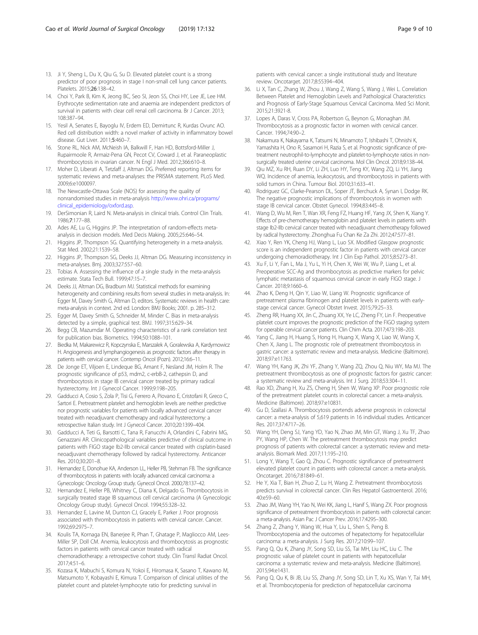- <span id="page-8-0"></span>13. Ji Y, Sheng L, Du X, Qiu G, Su D. Elevated platelet count is a strong predictor of poor prognosis in stage I non-small cell lung cancer patients. Platelets. 2015;26:138–42.
- 14. Choi Y, Park B, Kim K, Jeong BC, Seo SI, Jeon SS, Choi HY, Lee JE, Lee HM. Erythrocyte sedimentation rate and anaemia are independent predictors of survival in patients with clear cell renal cell carcinoma. Br J Cancer. 2013; 108:387–94.
- 15. Yesil A, Senates E, Bayoglu IV, Erdem ED, Demirtunc R, Kurdas Ovunc AO. Red cell distribution width: a novel marker of activity in inflammatory bowel disease. Gut Liver. 2011;5:460–7.
- 16. Stone RL, Nick AM, McNeish IA, Balkwill F, Han HD, Bottsford-Miller J, Rupairmoole R, Armaiz-Pena GN, Pecot CV, Coward J, et al. Paraneoplastic thrombocytosis in ovarian cancer. N Engl J Med. 2012;366:610–8.
- 17. Moher D, Liberati A, Tetzlaff J, Altman DG. Preferred reporting items for systematic reviews and meta-analyses: the PRISMA statement. PLoS Med. 2009;6:e1000097.
- 18. The Newcastle-Ottawa Scale (NOS) for assessing the quality of nonrandomised studies in meta-analysis [http://www.ohri.ca/programs/](http://www.ohri.ca/programs/clinical_epidemiology/oxford.asp) [clinical\\_epidemiology/oxford.asp](http://www.ohri.ca/programs/clinical_epidemiology/oxford.asp).
- 19. DerSimonian R, Laird N. Meta-analysis in clinical trials. Control Clin Trials. 1986;7:177–88.
- 20. Ades AE, Lu G, Higgins JP. The interpretation of random-effects metaanalysis in decision models. Med Decis Making. 2005;25:646–54.
- 21. Higgins JP, Thompson SG. Quantifying heterogeneity in a meta-analysis. Stat Med. 2002;21:1539–58.
- 22. Higgins JP, Thompson SG, Deeks JJ, Altman DG. Measuring inconsistency in meta-analyses. Bmj. 2003;327:557–60.
- 23. Tobias A. Assessing the influence of a single study in the meta-analysis estimate. Stata Tech Bull. 1999;47:15–7.
- 24. Deeks JJ, Altman DG, Bradburn MJ. Statistical methods for examining heterogeneity and combining results from several studies in meta-analysis. In: Egger M, Davey Smith G, Altman D, editors. Systematic reviews in health care: meta-analysis in context. 2nd ed. London: BMJ Books; 2001. p. 285–312.
- 25. Egger M, Davey Smith G, Schneider M, Minder C. Bias in meta-analysis detected by a simple, graphical test. BMJ. 1997;315:629–34.
- 26. Begg CB, Mazumdar M. Operating characteristics of a rank correlation test for publication bias. Biometrics. 1994;50:1088–101.
- 27. Biedka M, Makarewicz R, Kopczynska E, Marszalek A, Goralewska A, Kardymowicz H. Angiogenesis and lymphangiogenesis as prognostic factors after therapy in patients with cervical cancer. Contemp Oncol (Pozn). 2012;16:6–11.
- 28. De Jonge ET, Viljoen E, Lindeque BG, Amant F, Nesland JM, Holm R. The prognostic significance of p53, mdm2, c-erbB-2, cathepsin D, and thrombocytosis in stage IB cervical cancer treated by primary radical hysterectomy. Int J Gynecol Cancer. 1999;9:198–205.
- 29. Gadducci A, Cosio S, Zola P, Tisi G, Ferrero A, Piovano E, Cristofani R, Greco C, Sartori E. Pretreatment platelet and hemoglobin levels are neither predictive nor prognostic variables for patients with locally advanced cervical cancer treated with neoadjuvant chemotherapy and radical hysterectomy: a retrospective Italian study. Int J Gynecol Cancer. 2010;20:1399–404.
- 30. Gadducci A, Teti G, Barsotti C, Tana R, Fanucchi A, Orlandini C, Fabrini MG, Genazzani AR. Clinicopathological variables predictive of clinical outcome in patients with FIGO stage Ib2-IIb cervical cancer treated with cisplatin-based neoadjuvant chemotherapy followed by radical hysterectomy. Anticancer Res. 2010;30:201–8.
- 31. Hernandez E, Donohue KA, Anderson LL, Heller PB, Stehman FB. The significance of thrombocytosis in patients with locally advanced cervical carcinoma: a Gynecologic Oncology Group study. Gynecol Oncol. 2000;78:137–42.
- 32. Hernandez E, Heller PB, Whitney C, Diana K, Delgado G. Thrombocytosis in surgically treated stage IB squamous cell cervical carcinoma (A Gynecologic Oncology Group study). Gynecol Oncol. 1994;55:328–32.
- 33. Hernandez E, Lavine M, Dunton CJ, Gracely E, Parker J. Poor prognosis associated with thrombocytosis in patients with cervical cancer. Cancer. 1992;69:2975–7.
- 34. Koulis TA, Kornaga EN, Banerjee R, Phan T, Ghatage P, Magliocco AM, Lees-Miller SP, Doll CM. Anemia, leukocytosis and thrombocytosis as prognostic factors in patients with cervical cancer treated with radical chemoradiotherapy: a retrospective cohort study. Clin Transl Radiat Oncol. 2017;4:51–6.
- 35. Kozasa K, Mabuchi S, Komura N, Yokoi E, Hiromasa K, Sasano T, Kawano M, Matsumoto Y, Kobayashi E, Kimura T. Comparison of clinical utilities of the platelet count and platelet-lymphocyte ratio for predicting survival in

patients with cervical cancer: a single institutional study and literature review. Oncotarget. 2017;8:55394–404.

- 36. Li X, Tan C, Zhang W, Zhou J, Wang Z, Wang S, Wang J, Wei L. Correlation Between Platelet and Hemoglobin Levels and Pathological Characteristics and Prognosis of Early-Stage Squamous Cervical Carcinoma. Med Sci Monit. 2015;21:3921-8.
- 37. Lopes A, Daras V, Cross PA, Robertson G, Beynon G, Monaghan JM. Thrombocytosis as a prognostic factor in women with cervical cancer. Cancer. 1994;74:90–2.
- 38. Nakamura K, Nakayama K, Tatsumi N, Minamoto T, Ishibashi T, Ohnishi K, Yamashita H, Ono R, Sasamori H, Razia S, et al. Prognostic significance of pretreatment neutrophil-to-lymphocyte and platelet-to-lymphocyte ratios in nonsurgically treated uterine cervical carcinoma. Mol Clin Oncol. 2018;9:138–44.
- 39. Qiu MZ, Xu RH, Ruan DY, Li ZH, Luo HY, Teng KY, Wang ZQ, Li YH, Jiang WQ. Incidence of anemia, leukocytosis, and thrombocytosis in patients with solid tumors in China. Tumour Biol. 2010;31:633–41.
- 40. Rodriguez GC, Clarke-Pearson DL, Soper JT, Berchuck A, Synan I, Dodge RK. The negative prognostic implications of thrombocytosis in women with stage IB cervical cancer. Obstet Gynecol. 1994;83:445–8.
- 41. Wang D, Wu M, Ren T, Wan XR, Feng FZ, Huang HF, Yang JX, Shen K, Xiang Y. Effects of pre-chemotherapy hemoglobin and platelet levels in patients with stage Ib2-IIb cervical cancer treated with neoadjuvant chemotherapy followed by radical hysterectomy. Zhonghua Fu Chan Ke Za Zhi. 2012;47:577–81.
- 42. Xiao Y, Ren YK, Cheng HJ, Wang L, Luo SX. Modified Glasgow prognostic score is an independent prognostic factor in patients with cervical cancer undergoing chemoradiotherapy. Int J Clin Exp Pathol. 2015;8:5273–81.
- 43. Xu F, Li Y, Fan L, Ma J, Yu L, Yi H, Chen X, Wei W, Wu P, Liang L, et al. Preoperative SCC-Ag and thrombocytosis as predictive markers for pelvic lymphatic metastasis of squamous cervical cancer in early FIGO stage. J Cancer. 2018;9:1660–6.
- 44. Zhao K, Deng H, Qin Y, Liao W, Liang W. Prognostic significance of pretreatment plasma fibrinogen and platelet levels in patients with earlystage cervical cancer. Gynecol Obstet Invest. 2015;79:25–33.
- 45. Zheng RR, Huang XX, Jin C, Zhuang XX, Ye LC, Zheng FY, Lin F. Preoperative platelet count improves the prognostic prediction of the FIGO staging system for operable cervical cancer patients. Clin Chim Acta. 2017;473:198–203.
- 46. Yang C, Jiang H, Huang S, Hong H, Huang X, Wang X, Liao W, Wang X, Chen X, Jiang L. The prognostic role of pretreatment thrombocytosis in gastric cancer: a systematic review and meta-analysis. Medicine (Baltimore). 2018;97:e11763.
- 47. Wang YH, Kang JK, Zhi YF, Zhang Y, Wang ZQ, Zhou Q, Niu WY, Ma MJ. The pretreatment thrombocytosis as one of prognostic factors for gastric cancer: a systematic review and meta-analysis. Int J Surg. 2018;53:304–11.
- 48. Rao XD, Zhang H, Xu ZS, Cheng H, Shen W, Wang XP. Poor prognostic role of the pretreatment platelet counts in colorectal cancer: a meta-analysis. Medicine (Baltimore). 2018;97:e10831.
- 49. Gu D, Szallasi A. Thrombocytosis portends adverse prognosis in colorectal cancer: a meta-analysis of 5,619 patients in 16 individual studies. Anticancer Res. 2017;37:4717–26.
- 50. Wang YH, Deng SJ, Yang YD, Yao N, Zhao JM, Min GT, Wang J, Xu TF, Zhao PY, Wang HP, Chen W. The pretreatment thrombocytosis may predict prognosis of patients with colorectal cancer: a systematic review and metaanalysis. Biomark Med. 2017;11:195–210.
- 51. Long Y, Wang T, Gao Q, Zhou C. Prognostic significance of pretreatment elevated platelet count in patients with colorectal cancer: a meta-analysis. Oncotarget. 2016;7:81849–61.
- 52. He Y, Xia T, Bian H, Zhuo Z, Lu H, Wang Z. Pretreatment thrombocytosis predicts survival in colorectal cancer. Clin Res Hepatol Gastroenterol. 2016; 40:e59–60.
- 53. Zhao JM, Wang YH, Yao N, Wei KK, Jiang L, Hanif S, Wang ZX. Poor prognosis significance of pretreatment thrombocytosis in patients with colorectal cancer: a meta-analysis. Asian Pac J Cancer Prev. 2016;17:4295–300.
- 54. Zhang Z, Zhang Y, Wang W, Hua Y, Liu L, Shen S, Peng B. Thrombocytopenia and the outcomes of hepatectomy for hepatocellular carcinoma: a meta-analysis. J Surg Res. 2017;210:99–107.
- 55. Pang Q, Qu K, Zhang JY, Song SD, Liu SS, Tai MH, Liu HC, Liu C. The prognostic value of platelet count in patients with hepatocellular carcinoma: a systematic review and meta-analysis. Medicine (Baltimore). 2015;94:e1431.
- 56. Pang Q, Qu K, Bi JB, Liu SS, Zhang JY, Song SD, Lin T, Xu XS, Wan Y, Tai MH, et al. Thrombocytopenia for prediction of hepatocellular carcinoma